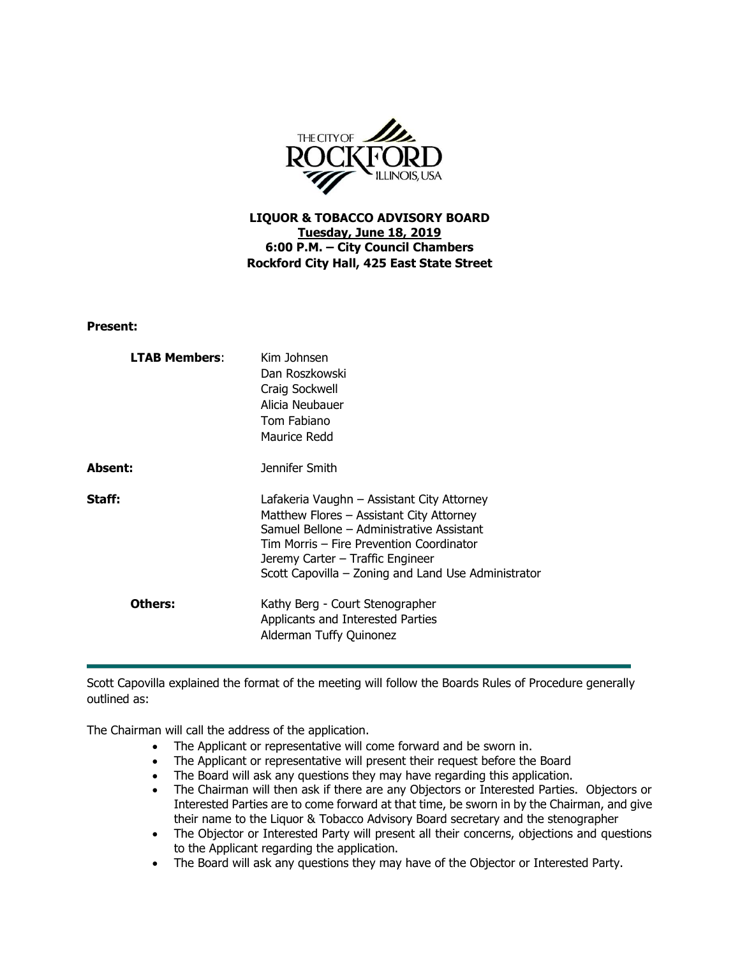

**LIQUOR & TOBACCO ADVISORY BOARD Tuesday, June 18, 2019 6:00 P.M. – City Council Chambers Rockford City Hall, 425 East State Street**

**Present:**

| <b>LTAB Members:</b> | Kim Johnsen<br>Dan Roszkowski<br>Craig Sockwell<br>Alicia Neubauer<br>Tom Fabiano<br>Maurice Redd                                                                                                                                                                          |
|----------------------|----------------------------------------------------------------------------------------------------------------------------------------------------------------------------------------------------------------------------------------------------------------------------|
| Absent:              | Jennifer Smith                                                                                                                                                                                                                                                             |
| Staff:               | Lafakeria Vaughn - Assistant City Attorney<br>Matthew Flores - Assistant City Attorney<br>Samuel Bellone - Administrative Assistant<br>Tim Morris – Fire Prevention Coordinator<br>Jeremy Carter – Traffic Engineer<br>Scott Capovilla - Zoning and Land Use Administrator |
| Others:              | Kathy Berg - Court Stenographer<br>Applicants and Interested Parties<br>Alderman Tuffy Quinonez                                                                                                                                                                            |

Scott Capovilla explained the format of the meeting will follow the Boards Rules of Procedure generally outlined as:

The Chairman will call the address of the application.

- The Applicant or representative will come forward and be sworn in.
- The Applicant or representative will present their request before the Board
- The Board will ask any questions they may have regarding this application.
- The Chairman will then ask if there are any Objectors or Interested Parties. Objectors or Interested Parties are to come forward at that time, be sworn in by the Chairman, and give their name to the Liquor & Tobacco Advisory Board secretary and the stenographer
- The Objector or Interested Party will present all their concerns, objections and questions to the Applicant regarding the application.
- The Board will ask any questions they may have of the Objector or Interested Party.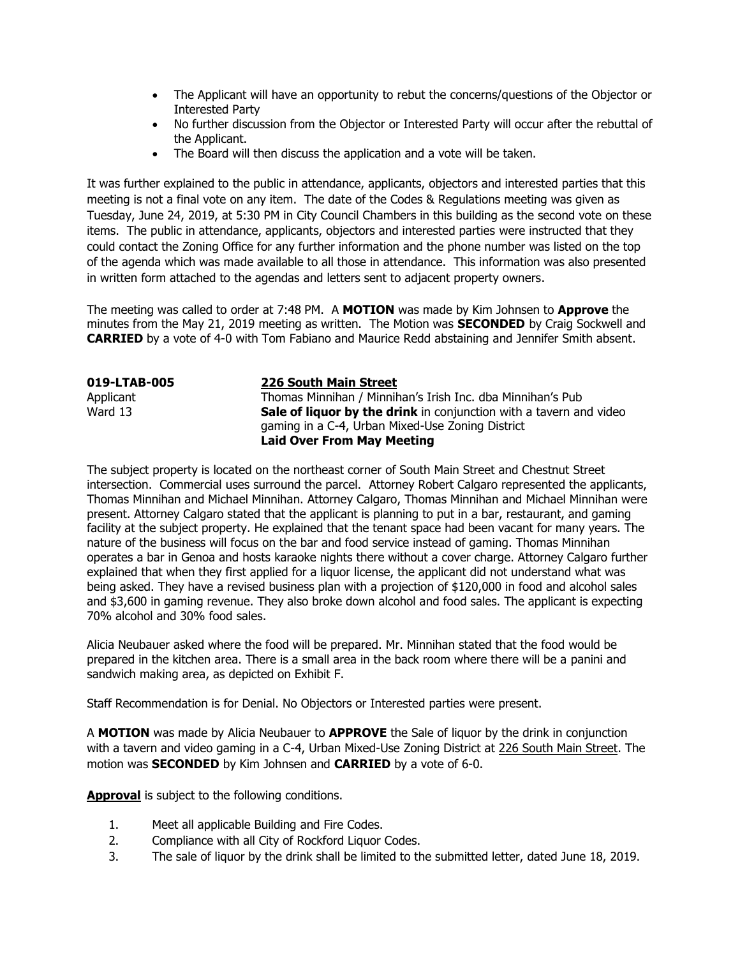- The Applicant will have an opportunity to rebut the concerns/questions of the Objector or Interested Party
- No further discussion from the Objector or Interested Party will occur after the rebuttal of the Applicant.
- The Board will then discuss the application and a vote will be taken.

It was further explained to the public in attendance, applicants, objectors and interested parties that this meeting is not a final vote on any item. The date of the Codes & Regulations meeting was given as Tuesday, June 24, 2019, at 5:30 PM in City Council Chambers in this building as the second vote on these items. The public in attendance, applicants, objectors and interested parties were instructed that they could contact the Zoning Office for any further information and the phone number was listed on the top of the agenda which was made available to all those in attendance. This information was also presented in written form attached to the agendas and letters sent to adjacent property owners.

The meeting was called to order at 7:48 PM. A **MOTION** was made by Kim Johnsen to **Approve** the minutes from the May 21, 2019 meeting as written. The Motion was **SECONDED** by Craig Sockwell and **CARRIED** by a vote of 4-0 with Tom Fabiano and Maurice Redd abstaining and Jennifer Smith absent.

| 019-LTAB-005 | <b>226 South Main Street</b>                                              |
|--------------|---------------------------------------------------------------------------|
| Applicant    | Thomas Minnihan / Minnihan's Irish Inc. dba Minnihan's Pub                |
| Ward 13      | <b>Sale of liquor by the drink</b> in conjunction with a tavern and video |
|              | gaming in a C-4, Urban Mixed-Use Zoning District                          |
|              | <b>Laid Over From May Meeting</b>                                         |

The subject property is located on the northeast corner of South Main Street and Chestnut Street intersection. Commercial uses surround the parcel. Attorney Robert Calgaro represented the applicants, Thomas Minnihan and Michael Minnihan. Attorney Calgaro, Thomas Minnihan and Michael Minnihan were present. Attorney Calgaro stated that the applicant is planning to put in a bar, restaurant, and gaming facility at the subject property. He explained that the tenant space had been vacant for many years. The nature of the business will focus on the bar and food service instead of gaming. Thomas Minnihan operates a bar in Genoa and hosts karaoke nights there without a cover charge. Attorney Calgaro further explained that when they first applied for a liquor license, the applicant did not understand what was being asked. They have a revised business plan with a projection of \$120,000 in food and alcohol sales and \$3,600 in gaming revenue. They also broke down alcohol and food sales. The applicant is expecting 70% alcohol and 30% food sales.

Alicia Neubauer asked where the food will be prepared. Mr. Minnihan stated that the food would be prepared in the kitchen area. There is a small area in the back room where there will be a panini and sandwich making area, as depicted on Exhibit F.

Staff Recommendation is for Denial. No Objectors or Interested parties were present.

A **MOTION** was made by Alicia Neubauer to **APPROVE** the Sale of liquor by the drink in conjunction with a tavern and video gaming in a C-4, Urban Mixed-Use Zoning District at 226 South Main Street. The motion was **SECONDED** by Kim Johnsen and **CARRIED** by a vote of 6-0.

**Approval** is subject to the following conditions.

- 1. Meet all applicable Building and Fire Codes.
- 2. Compliance with all City of Rockford Liquor Codes.
- 3. The sale of liquor by the drink shall be limited to the submitted letter, dated June 18, 2019.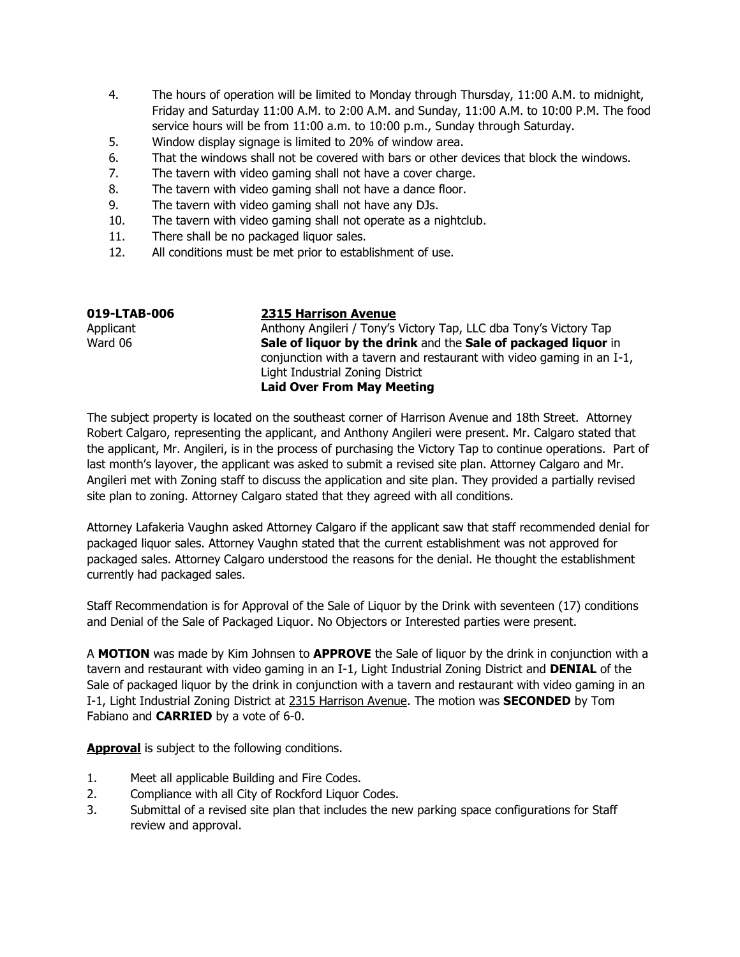- 4. The hours of operation will be limited to Monday through Thursday, 11:00 A.M. to midnight, Friday and Saturday 11:00 A.M. to 2:00 A.M. and Sunday, 11:00 A.M. to 10:00 P.M. The food service hours will be from 11:00 a.m. to 10:00 p.m., Sunday through Saturday.
- 5. Window display signage is limited to 20% of window area.
- 6. That the windows shall not be covered with bars or other devices that block the windows.
- 7. The tavern with video gaming shall not have a cover charge.
- 8. The tavern with video gaming shall not have a dance floor.
- 9. The tavern with video gaming shall not have any DJs.
- 10. The tavern with video gaming shall not operate as a nightclub.
- 11. There shall be no packaged liquor sales.
- 12. All conditions must be met prior to establishment of use.

| 019-LTAB-006 | <b>2315 Harrison Avenue</b>                                           |
|--------------|-----------------------------------------------------------------------|
| Applicant    | Anthony Angileri / Tony's Victory Tap, LLC dba Tony's Victory Tap     |
| Ward 06      | Sale of liquor by the drink and the Sale of packaged liquor in        |
|              | conjunction with a tavern and restaurant with video gaming in an I-1, |
|              | Light Industrial Zoning District                                      |
|              | <b>Laid Over From May Meeting</b>                                     |
|              |                                                                       |

The subject property is located on the southeast corner of Harrison Avenue and 18th Street. Attorney Robert Calgaro, representing the applicant, and Anthony Angileri were present. Mr. Calgaro stated that the applicant, Mr. Angileri, is in the process of purchasing the Victory Tap to continue operations. Part of last month's layover, the applicant was asked to submit a revised site plan. Attorney Calgaro and Mr. Angileri met with Zoning staff to discuss the application and site plan. They provided a partially revised site plan to zoning. Attorney Calgaro stated that they agreed with all conditions.

Attorney Lafakeria Vaughn asked Attorney Calgaro if the applicant saw that staff recommended denial for packaged liquor sales. Attorney Vaughn stated that the current establishment was not approved for packaged sales. Attorney Calgaro understood the reasons for the denial. He thought the establishment currently had packaged sales.

Staff Recommendation is for Approval of the Sale of Liquor by the Drink with seventeen (17) conditions and Denial of the Sale of Packaged Liquor. No Objectors or Interested parties were present.

A **MOTION** was made by Kim Johnsen to **APPROVE** the Sale of liquor by the drink in conjunction with a tavern and restaurant with video gaming in an I-1, Light Industrial Zoning District and **DENIAL** of the Sale of packaged liquor by the drink in conjunction with a tavern and restaurant with video gaming in an I-1, Light Industrial Zoning District at 2315 Harrison Avenue. The motion was **SECONDED** by Tom Fabiano and **CARRIED** by a vote of 6-0.

**Approval** is subject to the following conditions.

- 1. Meet all applicable Building and Fire Codes.
- 2. Compliance with all City of Rockford Liquor Codes.
- 3. Submittal of a revised site plan that includes the new parking space configurations for Staff review and approval.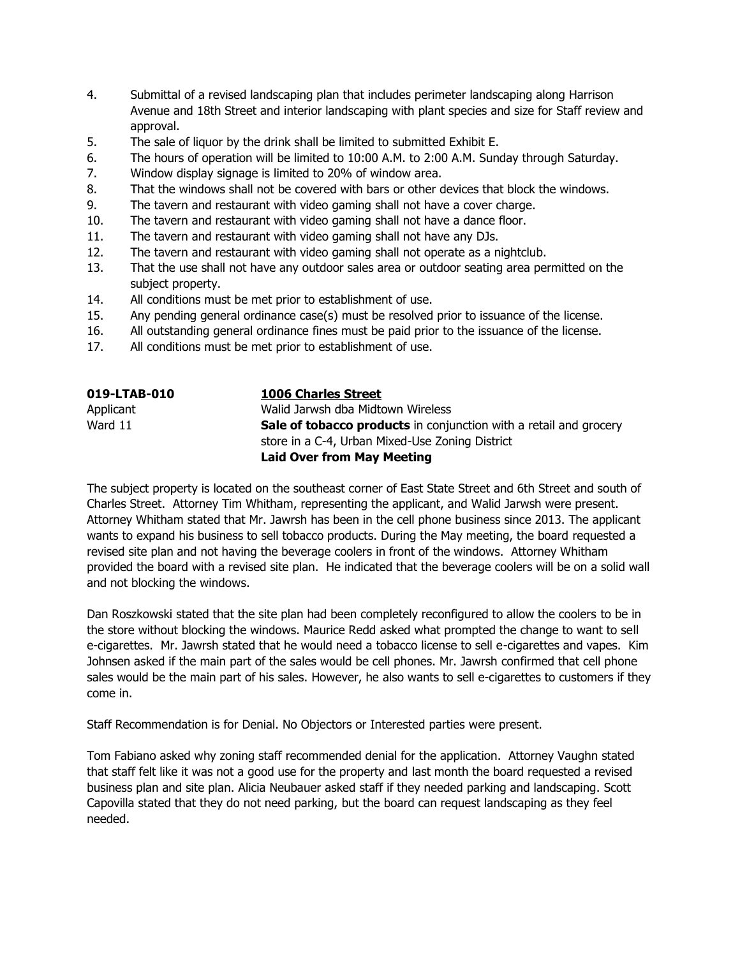- 4. Submittal of a revised landscaping plan that includes perimeter landscaping along Harrison Avenue and 18th Street and interior landscaping with plant species and size for Staff review and approval.
- 5. The sale of liquor by the drink shall be limited to submitted Exhibit E.
- 6. The hours of operation will be limited to 10:00 A.M. to 2:00 A.M. Sunday through Saturday.
- 7. Window display signage is limited to 20% of window area.
- 8. That the windows shall not be covered with bars or other devices that block the windows.
- 9. The tavern and restaurant with video gaming shall not have a cover charge.
- 10. The tavern and restaurant with video gaming shall not have a dance floor.
- 11. The tavern and restaurant with video gaming shall not have any DJs.
- 12. The tavern and restaurant with video gaming shall not operate as a nightclub.
- 13. That the use shall not have any outdoor sales area or outdoor seating area permitted on the subject property.
- 14. All conditions must be met prior to establishment of use.
- 15. Any pending general ordinance case(s) must be resolved prior to issuance of the license.
- 16. All outstanding general ordinance fines must be paid prior to the issuance of the license.
- 17. All conditions must be met prior to establishment of use.

| 019-LTAB-010 | <b>1006 Charles Street</b>                                               |
|--------------|--------------------------------------------------------------------------|
| Applicant    | Walid Jarwsh dba Midtown Wireless                                        |
| Ward 11      | <b>Sale of tobacco products</b> in conjunction with a retail and grocery |
|              | store in a C-4, Urban Mixed-Use Zoning District                          |
|              | <b>Laid Over from May Meeting</b>                                        |

The subject property is located on the southeast corner of East State Street and 6th Street and south of Charles Street. Attorney Tim Whitham, representing the applicant, and Walid Jarwsh were present. Attorney Whitham stated that Mr. Jawrsh has been in the cell phone business since 2013. The applicant wants to expand his business to sell tobacco products. During the May meeting, the board requested a revised site plan and not having the beverage coolers in front of the windows. Attorney Whitham provided the board with a revised site plan. He indicated that the beverage coolers will be on a solid wall and not blocking the windows.

Dan Roszkowski stated that the site plan had been completely reconfigured to allow the coolers to be in the store without blocking the windows. Maurice Redd asked what prompted the change to want to sell e-cigarettes. Mr. Jawrsh stated that he would need a tobacco license to sell e-cigarettes and vapes. Kim Johnsen asked if the main part of the sales would be cell phones. Mr. Jawrsh confirmed that cell phone sales would be the main part of his sales. However, he also wants to sell e-cigarettes to customers if they come in.

Staff Recommendation is for Denial. No Objectors or Interested parties were present.

Tom Fabiano asked why zoning staff recommended denial for the application. Attorney Vaughn stated that staff felt like it was not a good use for the property and last month the board requested a revised business plan and site plan. Alicia Neubauer asked staff if they needed parking and landscaping. Scott Capovilla stated that they do not need parking, but the board can request landscaping as they feel needed.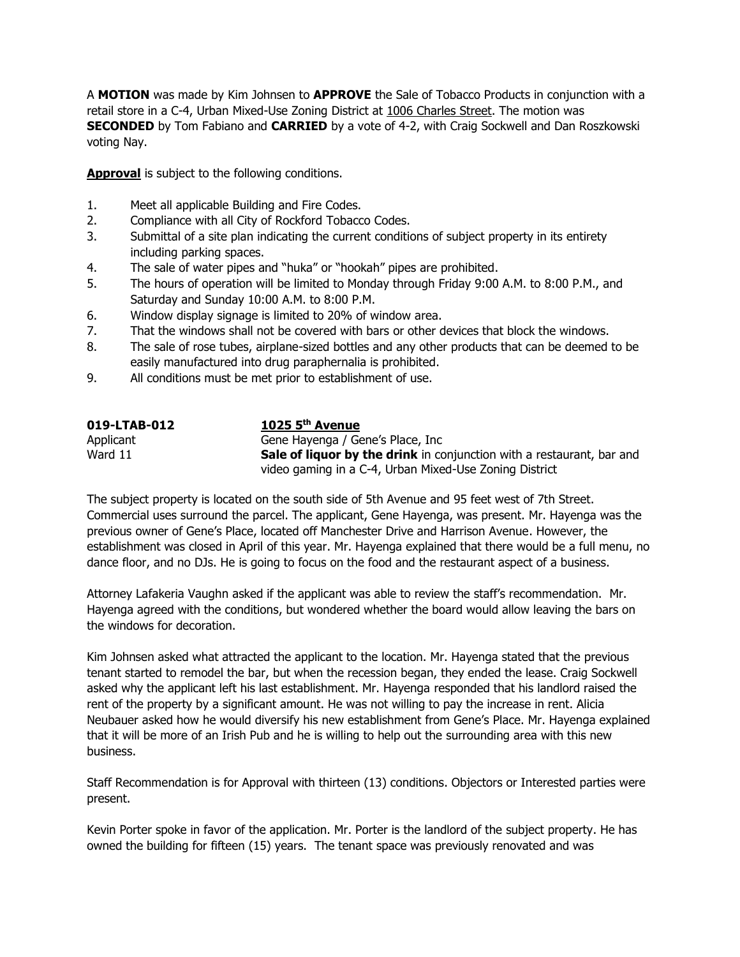A **MOTION** was made by Kim Johnsen to **APPROVE** the Sale of Tobacco Products in conjunction with a retail store in a C-4, Urban Mixed-Use Zoning District at 1006 Charles Street. The motion was **SECONDED** by Tom Fabiano and **CARRIED** by a vote of 4-2, with Craig Sockwell and Dan Roszkowski voting Nay.

**Approval** is subject to the following conditions.

- 1. Meet all applicable Building and Fire Codes.
- 2. Compliance with all City of Rockford Tobacco Codes.
- 3. Submittal of a site plan indicating the current conditions of subject property in its entirety including parking spaces.
- 4. The sale of water pipes and "huka" or "hookah" pipes are prohibited.
- 5. The hours of operation will be limited to Monday through Friday 9:00 A.M. to 8:00 P.M., and Saturday and Sunday 10:00 A.M. to 8:00 P.M.
- 6. Window display signage is limited to 20% of window area.
- 7. That the windows shall not be covered with bars or other devices that block the windows.
- 8. The sale of rose tubes, airplane-sized bottles and any other products that can be deemed to be easily manufactured into drug paraphernalia is prohibited.
- 9. All conditions must be met prior to establishment of use.

| 019-LTAB-012 | 1025 $5th$ Avenue                                                            |
|--------------|------------------------------------------------------------------------------|
| Applicant    | Gene Hayenga / Gene's Place, Inc                                             |
| Ward 11      | <b>Sale of liquor by the drink</b> in conjunction with a restaurant, bar and |
|              | video gaming in a C-4, Urban Mixed-Use Zoning District                       |

The subject property is located on the south side of 5th Avenue and 95 feet west of 7th Street. Commercial uses surround the parcel. The applicant, Gene Hayenga, was present. Mr. Hayenga was the previous owner of Gene's Place, located off Manchester Drive and Harrison Avenue. However, the establishment was closed in April of this year. Mr. Hayenga explained that there would be a full menu, no dance floor, and no DJs. He is going to focus on the food and the restaurant aspect of a business.

Attorney Lafakeria Vaughn asked if the applicant was able to review the staff's recommendation. Mr. Hayenga agreed with the conditions, but wondered whether the board would allow leaving the bars on the windows for decoration.

Kim Johnsen asked what attracted the applicant to the location. Mr. Hayenga stated that the previous tenant started to remodel the bar, but when the recession began, they ended the lease. Craig Sockwell asked why the applicant left his last establishment. Mr. Hayenga responded that his landlord raised the rent of the property by a significant amount. He was not willing to pay the increase in rent. Alicia Neubauer asked how he would diversify his new establishment from Gene's Place. Mr. Hayenga explained that it will be more of an Irish Pub and he is willing to help out the surrounding area with this new business.

Staff Recommendation is for Approval with thirteen (13) conditions. Objectors or Interested parties were present.

Kevin Porter spoke in favor of the application. Mr. Porter is the landlord of the subject property. He has owned the building for fifteen (15) years. The tenant space was previously renovated and was